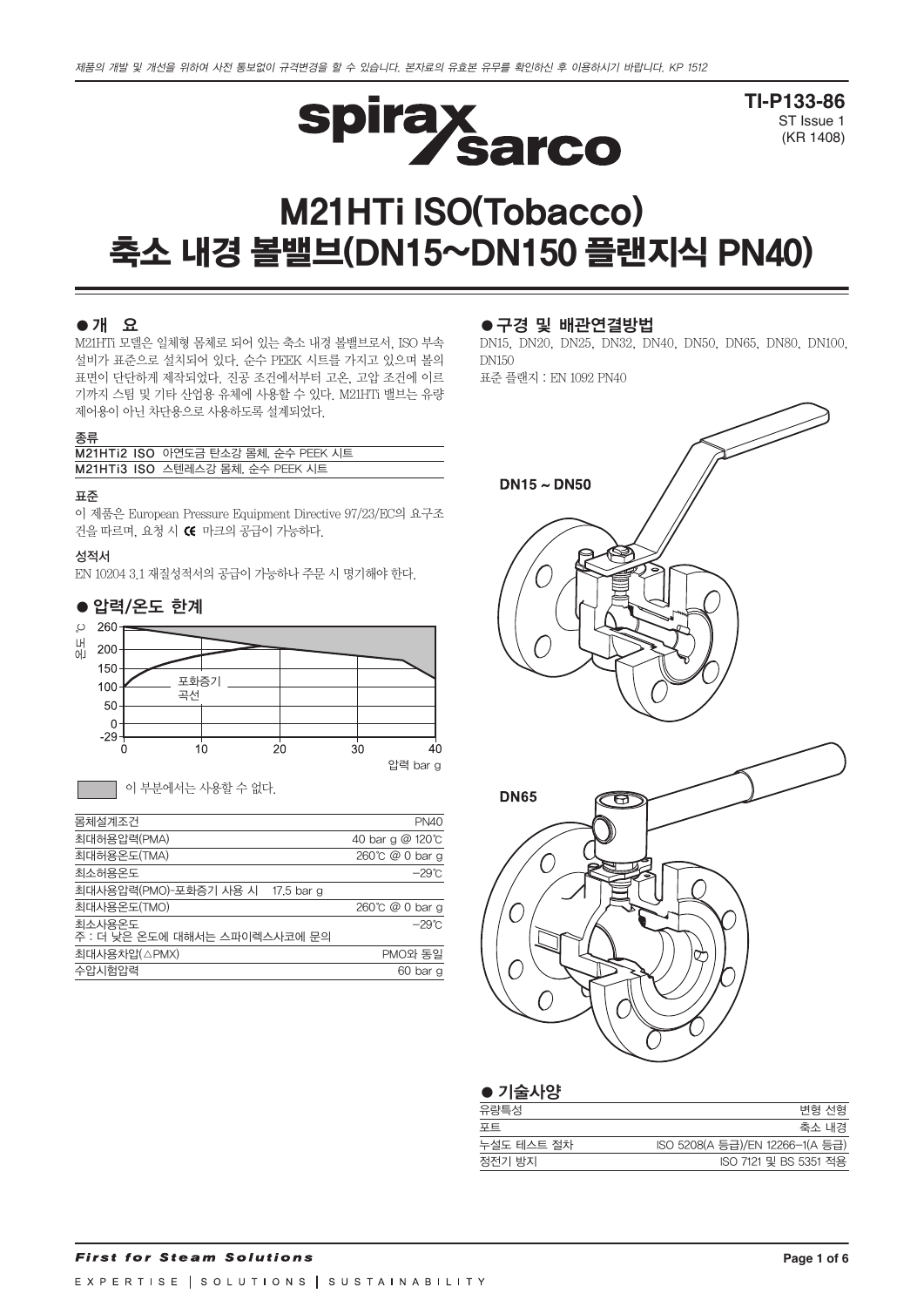

**TI-P133-86** ST Issue 1 (KR 1408)

# M21HTi ISO(Tobacco) 축소 내경 볼밸브(DN15~DN150 플랜지식 PN40)

## ●개 요

M21HTi 모델은 일체형 몸체로 되어 있는 축소 내경 볼밸브로서, ISO 부속 설비가 표준으로 설치되어 있다. 순수 PEEK 시트를 가지고 있으며 볼의 표면이 단단하게 제작되었다. 진공 조건에서부터 고온, 고압 조건에 이르 기까지 스팀 및 기타 산업용 유체에 사용할 수 있다. M21HTi 밸브는 유량 제어용이 아닌 차단용으로 사용하도록 설계되었다.

#### 종류

| M21HTi2 ISO 아연도금 탄소강 몸체, 순수 PEEK 시트 |
|-------------------------------------|
| M21HTi3 ISO 스텐레스강 몸체, 순수 PEEK 시트    |
|                                     |

#### 표준

이 제품은 European Pressure Equipment Directive 97/23/EC의 요구조 건을 따르며, 요청 시 CE 마크의 공급이 가능하다.

#### 성적서

EN 10204 3.1 재질성적서의 공급이 가능하나 주문 시 명기해야 한다.



이 부분에서는 사용할 수 없다.

| 몸체설계조건                                  | PN40             |
|-----------------------------------------|------------------|
| 최대허용압력(PMA)                             | 40 bar g @ 120°C |
| 최대허용온도(TMA)                             | 260℃ @ 0 bar g   |
| 최소허용온도                                  | $-29^{\circ}$ C  |
| 최대사용압력(PMO)-포화증기 사용 시 17.5 bar g        |                  |
| 최대사용온도(TMO)                             | 260℃ @ 0 bar g   |
| 최소사용온도<br>주 : 더 낮은 온도에 대해서는 스파이렉스사코에 문의 | $-29^{\circ}$ C  |
| 최대사용차압(△PMX)                            | PMO와 동일          |
| 수압시험압력                                  | 60 bar g         |
|                                         |                  |

#### ●구경 및 배관연결방법

DN15, DN20, DN25, DN32, DN40, DN50, DN65, DN80, DN100, DN150 표준 플랜지 : EN 1092 PN40



| $\bullet$ 기술사양 |                                 |
|----------------|---------------------------------|
| 유량특성           | 변형 선형                           |
| 포트             | 축소 내경                           |
| 누설도 테스트 절차     | ISO 5208(A 등급)/EN 12266-1(A 등급) |
| 정전기 방지         | ISO 7121 및 BS 5351 적용           |
|                |                                 |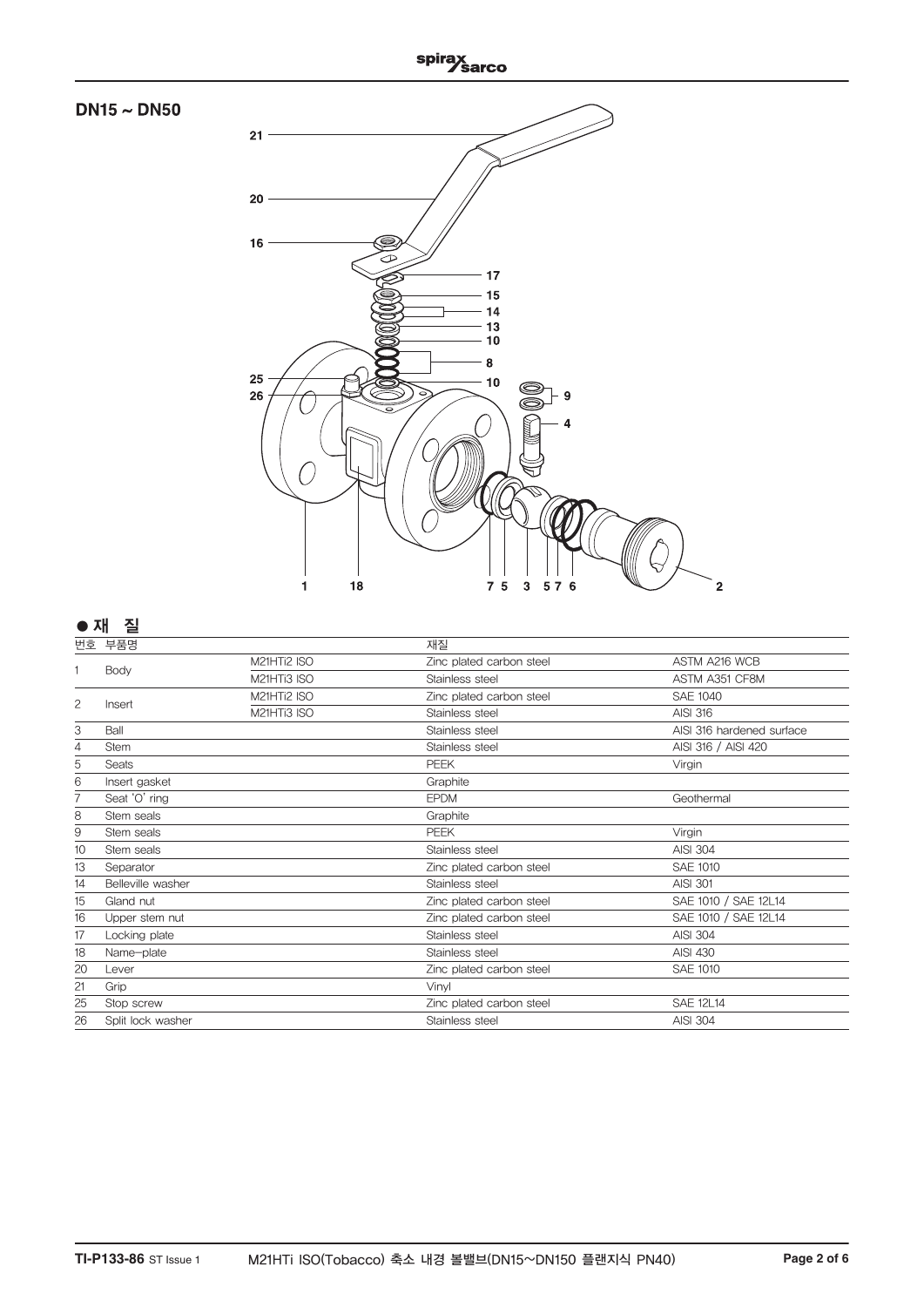

|    | Body              | M21HTi2 ISO | Zinc plated carbon steel | ASTM A216 WCB             |
|----|-------------------|-------------|--------------------------|---------------------------|
|    |                   | M21HTi3 ISO | Stainless steel          | ASTM A351 CF8M            |
| 2  | Insert            | M21HTi2 ISO | Zinc plated carbon steel | <b>SAE 1040</b>           |
|    |                   | M21HTi3 ISO | Stainless steel          | <b>AISI 316</b>           |
| 3  | Ball              |             | Stainless steel          | AISI 316 hardened surface |
| 4  | <b>Stem</b>       |             | Stainless steel          | AISI 316 / AISI 420       |
| 5  | Seats             |             | <b>PEEK</b>              | Virgin                    |
| 6  | Insert gasket     |             | Graphite                 |                           |
| 7  | Seat 'O' ring     |             | <b>EPDM</b>              | Geothermal                |
| 8  | Stem seals        |             | Graphite                 |                           |
| 9  | Stem seals        |             | PEEK                     | Virgin                    |
| 10 | Stem seals        |             | Stainless steel          | <b>AISI 304</b>           |
| 13 | Separator         |             | Zinc plated carbon steel | <b>SAE 1010</b>           |
| 14 | Belleville washer |             | Stainless steel          | <b>AISI 301</b>           |
| 15 | Gland nut         |             | Zinc plated carbon steel | SAE 1010 / SAE 12L14      |
| 16 | Upper stem nut    |             | Zinc plated carbon steel | SAE 1010 / SAE 12L14      |
| 17 | Locking plate     |             | Stainless steel          | <b>AISI 304</b>           |
| 18 | Name-plate        |             | Stainless steel          | <b>AISI 430</b>           |
| 20 | Lever             |             | Zinc plated carbon steel | <b>SAE 1010</b>           |
| 21 | Grip              |             | Vinyl                    |                           |
| 25 | Stop screw        |             | Zinc plated carbon steel | <b>SAE 12L14</b>          |
| 26 | Split lock washer |             | Stainless steel          | <b>AISI 304</b>           |
|    |                   |             |                          |                           |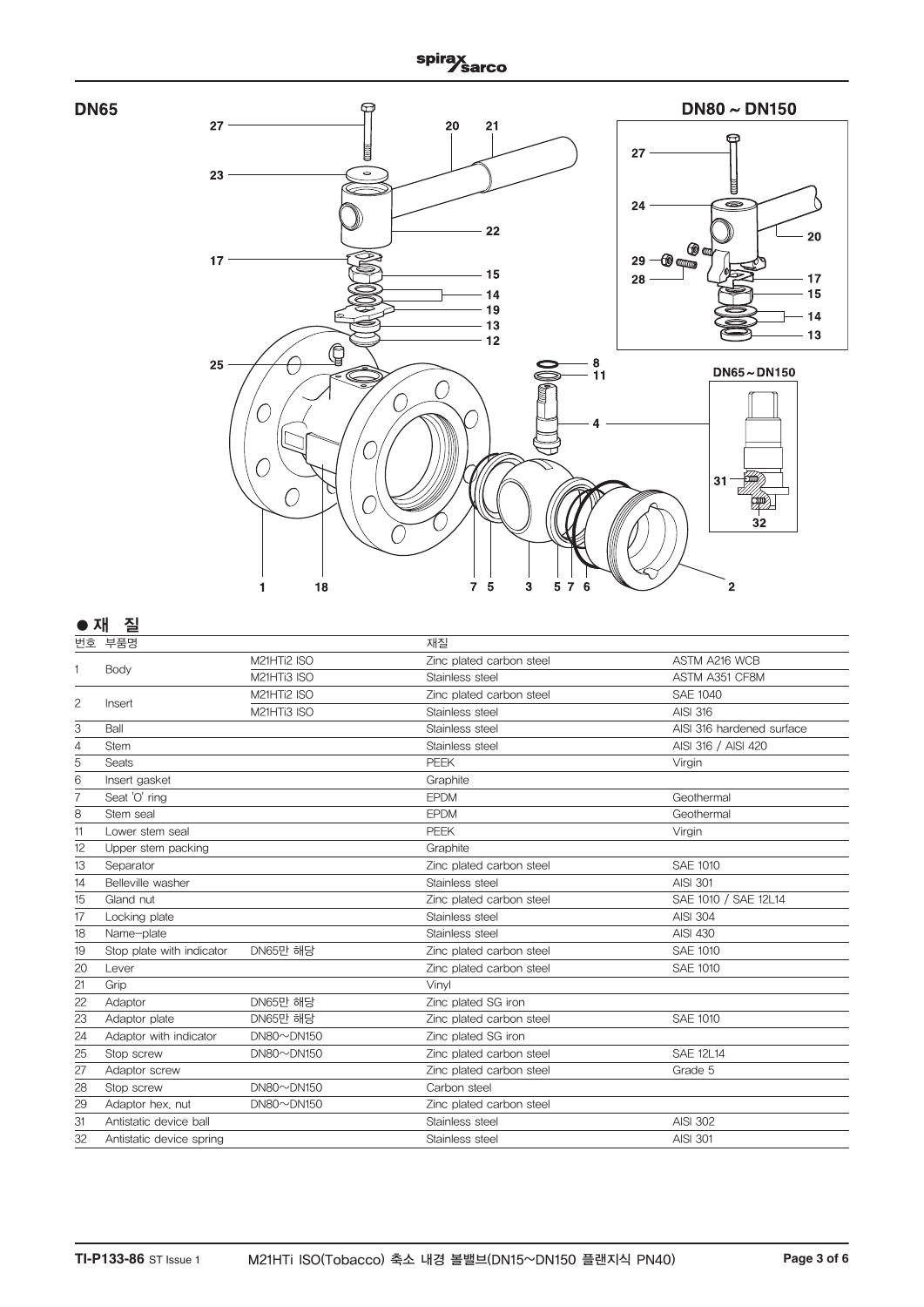



## **●**재질

|    | 번호 부품명                    |                             | 재질                       |                           |
|----|---------------------------|-----------------------------|--------------------------|---------------------------|
|    |                           | M21HTi2 ISO                 | Zinc plated carbon steel | ASTM A216 WCB             |
|    | Body                      | M21HTi3 ISO                 | Stainless steel          | ASTM A351 CF8M            |
|    |                           | M21HTi2 ISO                 | Zinc plated carbon steel | <b>SAE 1040</b>           |
| 2  | Insert                    | M21HTi3 ISO                 | Stainless steel          | <b>AISI 316</b>           |
| 3  | Ball                      |                             | Stainless steel          | AISI 316 hardened surface |
| 4  | <b>Stem</b>               |                             | Stainless steel          | AISI 316 / AISI 420       |
| 5  | Seats                     |                             | <b>PEEK</b>              | Virgin                    |
| 6  | Insert gasket             |                             | Graphite                 |                           |
| 7  | Seat 'O' ring             |                             | <b>EPDM</b>              | Geothermal                |
| 8  | Stem seal                 |                             | <b>EPDM</b>              | Geothermal                |
| 11 | Lower stem seal           |                             | <b>PEEK</b>              | Virgin                    |
| 12 | Upper stem packing        |                             | Graphite                 |                           |
| 13 | Separator                 |                             | Zinc plated carbon steel | SAE 1010                  |
| 14 | Belleville washer         |                             | Stainless steel          | <b>AISI 301</b>           |
| 15 | Gland nut                 |                             | Zinc plated carbon steel | SAE 1010 / SAE 12L14      |
| 17 | Locking plate             |                             | Stainless steel          | <b>AISI 304</b>           |
| 18 | Name-plate                |                             | Stainless steel          | <b>AISI 430</b>           |
| 19 | Stop plate with indicator | <b>DN65만 해당</b>             | Zinc plated carbon steel | <b>SAE 1010</b>           |
| 20 | Lever                     |                             | Zinc plated carbon steel | <b>SAE 1010</b>           |
| 21 | Grip                      |                             | Vinvl                    |                           |
| 22 | Adaptor                   | <b>DN65만 해당</b>             | Zinc plated SG iron      |                           |
| 23 | Adaptor plate             | DN65만 해당                    | Zinc plated carbon steel | <b>SAE 1010</b>           |
| 24 | Adaptor with indicator    | $DN80 \sim DN150$           | Zinc plated SG iron      |                           |
| 25 | Stop screw                | $DN80\nightharpoonup$ DN150 | Zinc plated carbon steel | <b>SAE 12L14</b>          |
| 27 | Adaptor screw             |                             | Zinc plated carbon steel | Grade 5                   |
| 28 | Stop screw                | $DN80 \sim DN150$           | Carbon steel             |                           |
| 29 | Adaptor hex, nut          | $DN80\nightharpoonup$ DN150 | Zinc plated carbon steel |                           |
| 31 | Antistatic device ball    |                             | Stainless steel          | <b>AISI 302</b>           |
| 32 | Antistatic device spring  |                             | Stainless steel          | <b>AISI 301</b>           |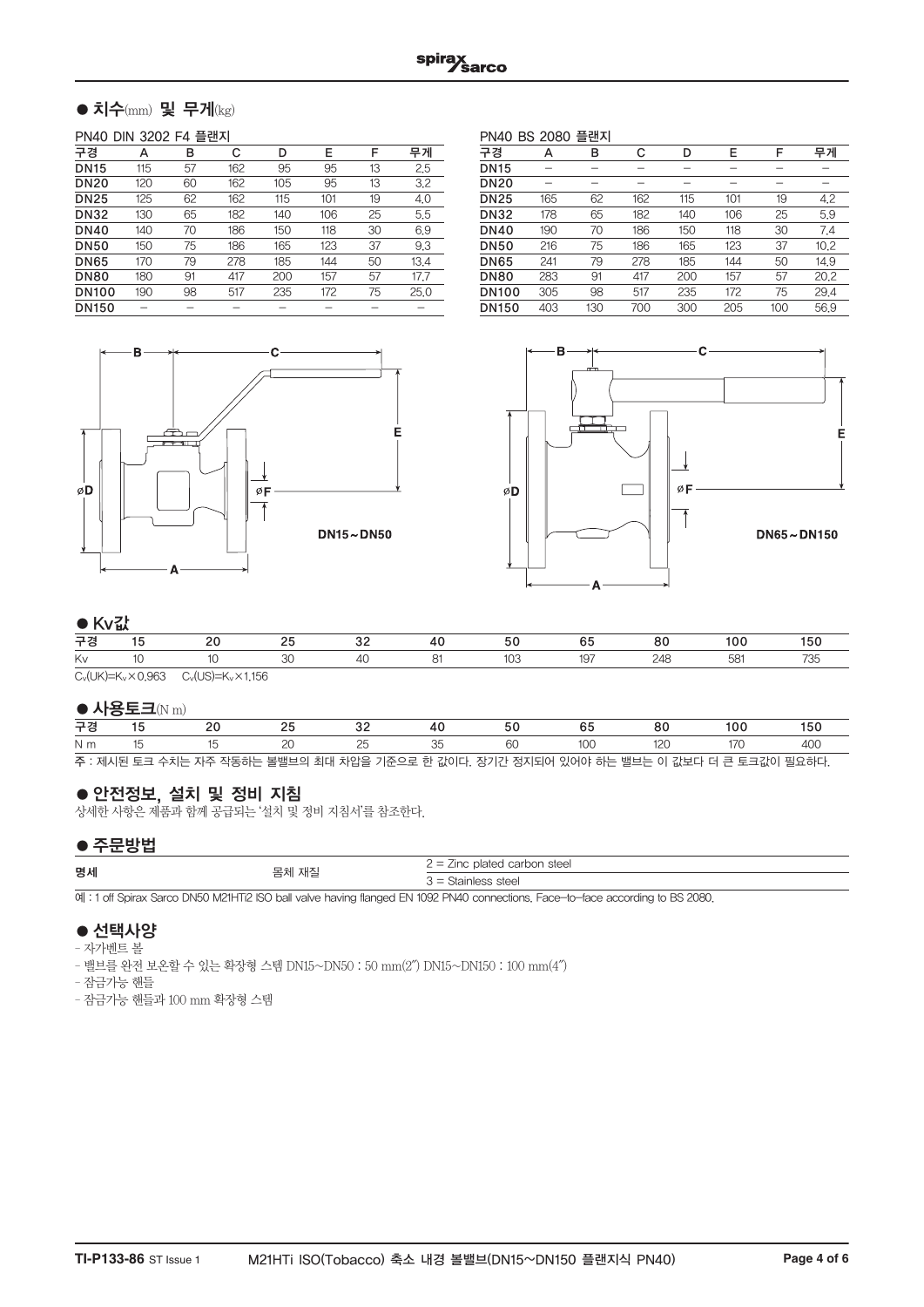## $\bullet$  치수(mm) 및 무게(kg)

#### PN40 DIN 3202 F4 플랜지

| 구경           | А   | в  | С   | D   | E   | F  | 무게   |
|--------------|-----|----|-----|-----|-----|----|------|
| <b>DN15</b>  | 115 | 57 | 162 | 95  | 95  | 13 | 2.5  |
| <b>DN20</b>  | 120 | 60 | 162 | 105 | 95  | 13 | 3.2  |
| <b>DN25</b>  | 125 | 62 | 162 | 115 | 101 | 19 | 4.0  |
| <b>DN32</b>  | 130 | 65 | 182 | 140 | 106 | 25 | 5.5  |
| <b>DN40</b>  | 140 | 70 | 186 | 150 | 118 | 30 | 6.9  |
| <b>DN50</b>  | 150 | 75 | 186 | 165 | 123 | 37 | 9.3  |
| <b>DN65</b>  | 170 | 79 | 278 | 185 | 144 | 50 | 13.4 |
| <b>DN80</b>  | 180 | 91 | 417 | 200 | 157 | 57 | 17.7 |
| <b>DN100</b> | 190 | 98 | 517 | 235 | 172 | 75 | 25.0 |
| <b>DN150</b> |     |    |     |     |     |    |      |
|              |     |    |     |     |     |    |      |

PN40 BS 2080 플랜지 구경 A B C D E F 무게 DN15 - - - - - - - -DN20 - - - - - - - -**DN25** 165 62 162 115 101 19 4.2<br>**DN32** 178 65 182 140 106 25 5.9 DN32 178 65 182 140 106 25 5.9 00 190 70 186 150 118 30 7.4<br>00 216 75 186 165 123 37 10.2 001 216 75 186 165 123 37 10.2<br>001 241 79 278 185 144 50 14.9 DN65 241 79 278 185 144 50 14.9 DN80 283 91 417 200 157 57 20.2 DN100 305 98 517 235 172 75 29.4 DN150 403 130 700 300 205 100 56.9





## $\triangle$ Kv $\mathbb{Z}^{\frac{1}{2}}$

|    | $\bullet$ inview |  |  |  |  |   |    |    |  |  |  |
|----|------------------|--|--|--|--|---|----|----|--|--|--|
| 구경 |                  |  |  |  |  |   | b. | ou |  |  |  |
| Kv |                  |  |  |  |  | U |    |    |  |  |  |
|    |                  |  |  |  |  |   |    |    |  |  |  |

 $C_v(UK)=K_v\times 0.963$   $C_v(US)=K_v\times 1.156$ 

#### $\bullet$  사용토크(N m)

| 구경             |  |  |  |  |                                                                                         |  |  |  |  | 50 |  |
|----------------|--|--|--|--|-----------------------------------------------------------------------------------------|--|--|--|--|----|--|
| N <sub>m</sub> |  |  |  |  |                                                                                         |  |  |  |  |    |  |
|                |  |  |  |  | 주 : 제시된 토크 수치는 자주 작동하는 볼밸브의 최대 차압을 기준으로 한 값이다. 장기간 정지되어 있어야 하는 밸브는 이 값보다 더 큰 토크값이 필요하다. |  |  |  |  |    |  |

## ●안전정보, 설치 및 정비 지침

상세한 사항은 제품과 함께 공급되는 '설치 및 정비 지침서'를 참조한다.

### ●주문방법

| _______ |              |                                                     |
|---------|--------------|-----------------------------------------------------|
| 명세      | 재즈<br>— – 11 | inc plated carbon steel<br>$\overline{\phantom{0}}$ |
|         |              | s = Stainless steel                                 |

예 : 1 off Spirax Sarco DN50 M21HTi2 ISO ball valve having flanged EN 1092 PN40 connections. Face-to-face according to BS 2080.

## ● 선택사양

– 자가벤트 볼

– 밸브를 완전 보온할 수 있는 확장형 스템 DN15~DN50 : 50 mm(2″) DN15~DN150 : 100 mm(4″)

– 잠금가능 핸들

– 잠금가능 핸들과 100 mm 확장형 스템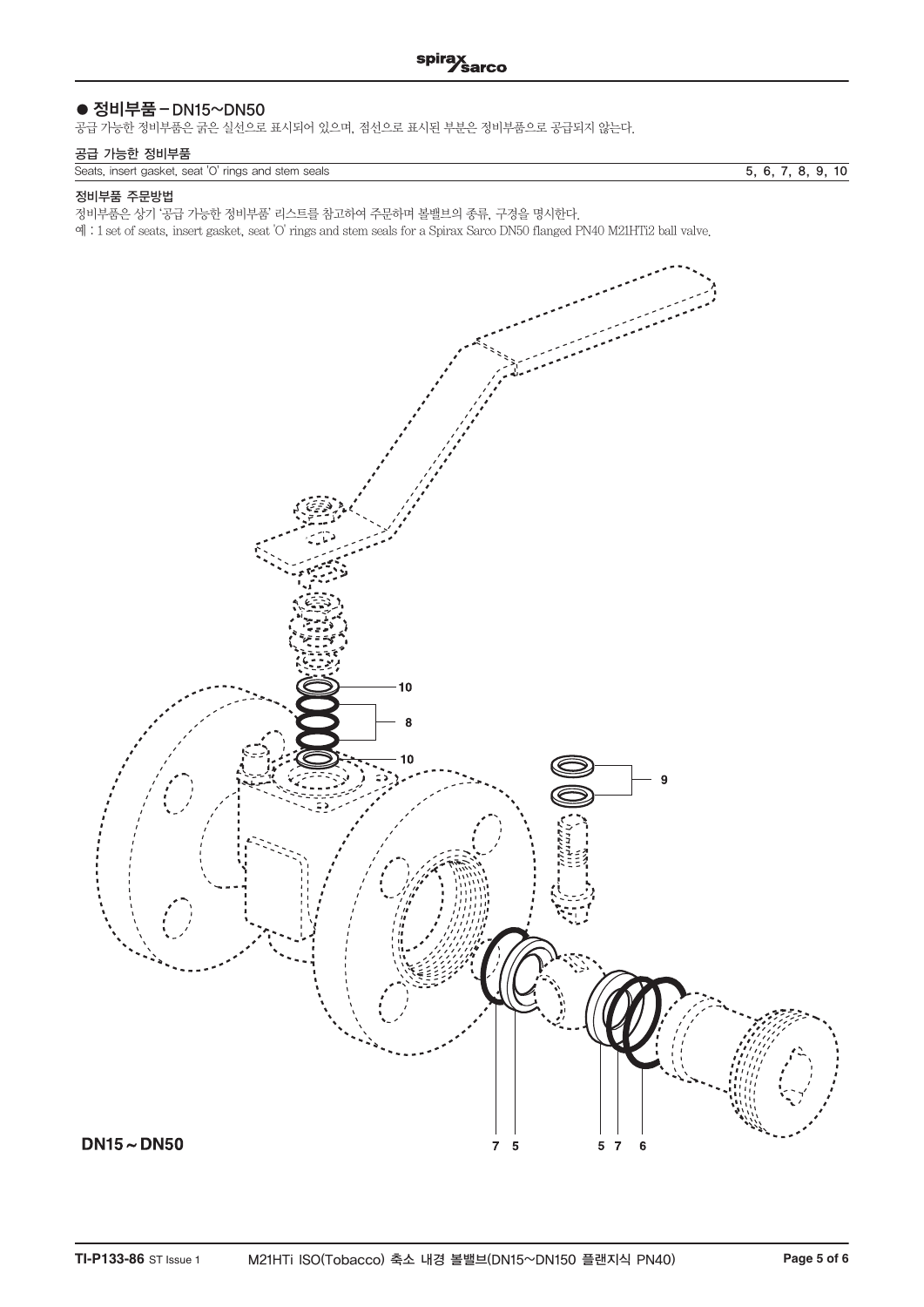## ● 정비부품 – DN15~DN50

공급 가능한 정비부품은 굵은 실선으로 표시되어 있으며, 점선으로 표시된 부분은 정비부품으로 공급되지 않는다.

## 공급 가능한 정비부품

Seats, insert gasket, seat 'O' rings and stem seals 5, 6, 7, 8, 9, 10

#### 정비부품 주문방법

정비부품은 상기 '공급 가능한 정비부품' 리스트를 참고하여 주문하며 볼밸브의 종류, 구경을 명시한다.

예 : 1 set of seats, insert gasket, seat 'O' rings and stem seals for a Spirax Sarco DN50 flanged PN40 M21HTi2 ball valve.